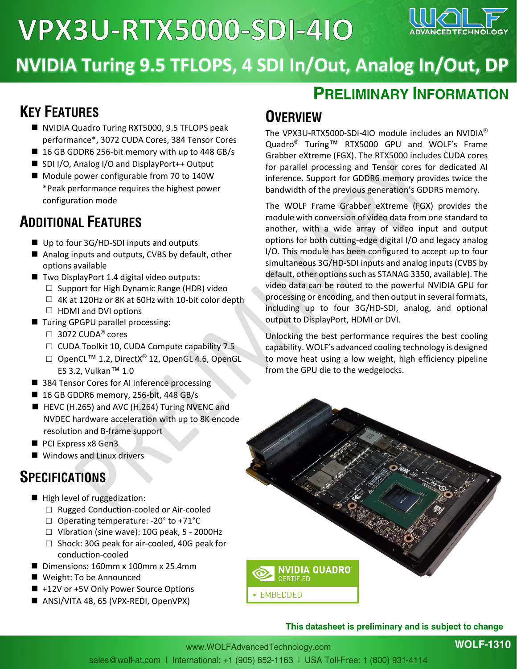# **VPX3U-RTX5000-SDI-410**



### **NVIDIA Turing 9.5 TFLOPS, 4 SDI In/Out, Analog In/Out, DP**

#### **KEY FEATURES**

- NVIDIA Quadro Turing RXT5000, 9.5 TFLOPS peak performance\*, 3072 CUDA Cores, 384 Tensor Cores
- 16 GB GDDR6 256-bit memory with up to 448 GB/s
- SDI I/O, Analog I/O and DisplayPort++ Output
- Module power configurable from 70 to 140W \*Peak performance requires the highest power configuration mode

#### **ADDITIONAL FEATURES**

- Up to four 3G/HD-SDI inputs and outputs
- Analog inputs and outputs, CVBS by default, other options available
- Two DisplayPort 1.4 digital video outputs:
	- □ Support for High Dynamic Range (HDR) video
	- $\Box$  4K at 120Hz or 8K at 60Hz with 10-bit color depth
	- $\Box$  HDMI and DVI options
- Turing GPGPU parallel processing:
	- $\Box$  3072 CUDA® cores
	- □ CUDA Toolkit 10, CUDA Compute capability 7.5
	- □ OpenCL<sup>TM</sup> 1.2, DirectX<sup>®</sup> 12, OpenGL 4.6, OpenGL ES 3.2, Vulkan™ 1.0
- 384 Tensor Cores for AI inference processing
- 16 GB GDDR6 memory, 256-bit, 448 GB/s
- HEVC (H.265) and AVC (H.264) Turing NVENC and NVDEC hardware acceleration with up to 8K encode resolution and B-frame support
- PCI Express x8 Gen3
- Windows and Linux drivers

#### **SPECIFICATIONS**

- High level of ruggedization:
	- □ Rugged Conduction-cooled or Air-cooled
	- $\Box$  Operating temperature: -20° to +71°C
	- $\Box$  Vibration (sine wave): 10G peak, 5 2000Hz
	- □ Shock: 30G peak for air-cooled, 40G peak for conduction-cooled
- Dimensions: 160mm x 100mm x 25.4mm
- Weight: To be Announced
- +12V or +5V Only Power Source Options
- ANSI/VITA 48, 65 (VPX-REDI, OpenVPX)

#### **OVERVIEW**

The VPX3U-RTX5000-SDI-4IO module includes an NVIDIA® Quadro® Turing™ RTX5000 GPU and WOLF's Frame Grabber eXtreme (FGX). The RTX5000 includes CUDA cores for parallel processing and Tensor cores for dedicated AI inference. Support for GDDR6 memory provides twice the bandwidth of the previous generation's GDDR5 memory.

**PRELIMINARY INFORMATION** 

The WOLF Frame Grabber eXtreme (FGX) provides the module with conversion of video data from one standard to another, with a wide array of video input and output options for both cutting-edge digital I/O and legacy analog I/O. This module has been configured to accept up to four simultaneous 3G/HD-SDI inputs and analog inputs (CVBS by default, other options such as STANAG 3350, available). The video data can be routed to the powerful NVIDIA GPU for processing or encoding, and then output in several formats, including up to four 3G/HD-SDI, analog, and optional output to DisplayPort, HDMI or DVI.

Unlocking the best performance requires the best cooling capability. WOLF's advanced cooling technology is designed to move heat using a low weight, high efficiency pipeline from the GPU die to the wedgelocks.



#### This datasheet is preliminary and is subject to change

**WOLF-1310**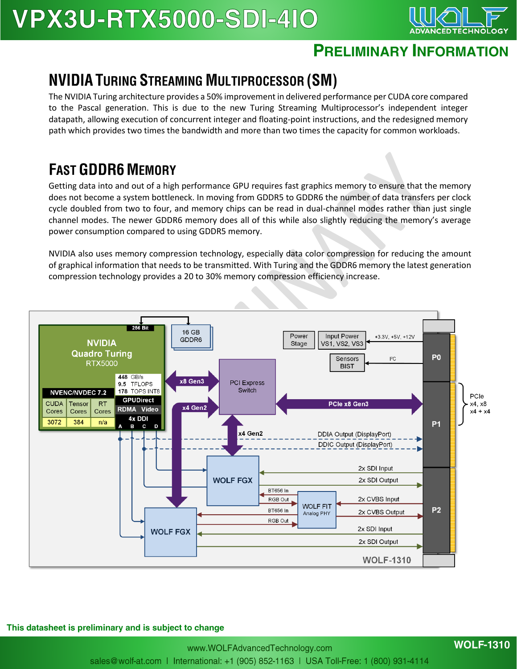## **VPX3U-RTX5000-SDI-410**



#### **PRELIMINARY INFORMATION**

#### **NVIDIA TURING STREAMING MULTIPROCESSOR (SM)**

The NVIDIA Turing architecture provides a 50% improvement in delivered performance per CUDA core compared to the Pascal generation. This is due to the new Turing Streaming Multiprocessor's independent integer datapath, allowing execution of concurrent integer and floating-point instructions, and the redesigned memory path which provides two times the bandwidth and more than two times the capacity for common workloads.

#### **FAST GDDR6 MEMORY**

Getting data into and out of a high performance GPU requires fast graphics memory to ensure that the memory does not become a system bottleneck. In moving from GDDR5 to GDDR6 the number of data transfers per clock cycle doubled from two to four, and memory chips can be read in dual-channel modes rather than just single channel modes. The newer GDDR6 memory does all of this while also slightly reducing the memory's average power consumption compared to using GDDR5 memory.

NVIDIA also uses memory compression technology, especially data color compression for reducing the amount of graphical information that needs to be transmitted. With Turing and the GDDR6 memory the latest generation compression technology provides a 20 to 30% memory compression efficiency increase.



This datasheet is preliminary and is subject to change

**WOLF-1310**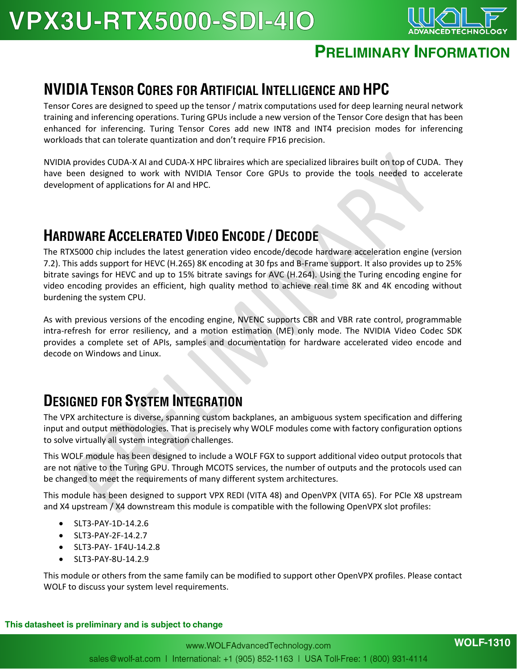

#### **PRELIMINARY INFORMATION**

#### **NVIDIA TENSOR CORES FOR ARTIFICIAL INTELLIGENCE AND HPC**

Tensor Cores are designed to speed up the tensor / matrix computations used for deep learning neural network training and inferencing operations. Turing GPUs include a new version of the Tensor Core design that has been enhanced for inferencing. Turing Tensor Cores add new INT8 and INT4 precision modes for inferencing workloads that can tolerate quantization and don't require FP16 precision.

NVIDIA provides CUDA-X AI and CUDA-X HPC libraires which are specialized libraires built on top of CUDA. They have been designed to work with NVIDIA Tensor Core GPUs to provide the tools needed to accelerate development of applications for AI and HPC.

#### **HARDWARE ACCELERATED VIDEO ENCODE / DECODE**

The RTX5000 chip includes the latest generation video encode/decode hardware acceleration engine (version 7.2). This adds support for HEVC (H.265) 8K encoding at 30 fps and B-Frame support. It also provides up to 25% bitrate savings for HEVC and up to 15% bitrate savings for AVC (H.264). Using the Turing encoding engine for video encoding provides an efficient, high quality method to achieve real time 8K and 4K encoding without burdening the system CPU.

As with previous versions of the encoding engine, NVENC supports CBR and VBR rate control, programmable intra-refresh for error resiliency, and a motion estimation (ME) only mode. The NVIDIA Video Codec SDK provides a complete set of APIs, samples and documentation for hardware accelerated video encode and decode on Windows and Linux.

#### **DESIGNED FOR SYSTEM INTEGRATION**

The VPX architecture is diverse, spanning custom backplanes, an ambiguous system specification and differing input and output methodologies. That is precisely why WOLF modules come with factory configuration options to solve virtually all system integration challenges.

This WOLF module has been designed to include a WOLF FGX to support additional video output protocols that are not native to the Turing GPU. Through MCOTS services, the number of outputs and the protocols used can be changed to meet the requirements of many different system architectures.

This module has been designed to support VPX REDI (VITA 48) and OpenVPX (VITA 65). For PCIe X8 upstream and X4 upstream / X4 downstream this module is compatible with the following OpenVPX slot profiles:

- SLT3-PAY-1D-14.2.6
- SLT3-PAY-2F-14.2.7
- SLT3-PAY- 1F4U-14.2.8
- SLT3-PAY-8U-14.2.9

This module or others from the same family can be modified to support other OpenVPX profiles. Please contact WOLF to discuss your system level requirements.